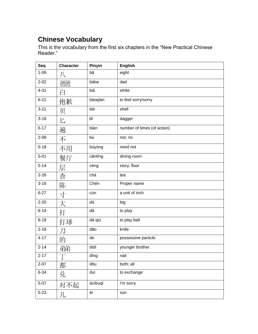## **Chinese Vocabulary**

This is the vocabulary from the first six chapters in the "New Practical Chinese Reader."

| Seq      | <b>Character</b> | Pinyin  | <b>English</b>              |
|----------|------------------|---------|-----------------------------|
| $1 - 09$ |                  | bā      | eight                       |
| $2 - 02$ | 浴浴               | bàba    | dad                         |
| $4 - 31$ | 白                | bái     | white                       |
| $6 - 21$ | 抱歉               | bàoqiàn | to feel sorry/sorry         |
| $3 - 21$ | 贝                | bèi     | shell                       |
| $3 - 18$ | $\overline{C}$   | bĭ      | dagger                      |
| $6 - 17$ | 遍                | biàn    | number of times (of action) |
| $2 - 08$ | 不                | bù      | not; no                     |
| $5 - 18$ | 不用               | búyòng  | need not                    |
| $5 - 01$ | 餐厅               | cāntīng | dining room                 |
| $5 - 14$ | 层                | céng    | story; floor                |
| $2 - 26$ | 查                | chá     | tea                         |
| $3 - 16$ | 陈                | Chén    | Proper name                 |
| $6 - 27$ | 寸                | cùn     | a unit of inch              |
| $2 - 20$ | 大                | dà      | big                         |
| $6 - 19$ | 打                | dă      | to play                     |
| $6 - 18$ | 打球               | dă qiú  | to play ball                |
| $2 - 18$ | 刀                | dāo     | knife                       |
| $4 - 17$ | 的                | de      | possessive particle         |
| $2 - 14$ | 弟弟               | dìdi    | younger brother             |
| $2 - 17$ |                  | dīng    | nail                        |
| $2 - 07$ | 都                | dōu     | both; all                   |
| $6 - 34$ | 兑                | duì     | to exchange                 |
| $5-07$   | 对不起              | duìbuqǐ | I'm sorry                   |
| $5 - 23$ | 儿                | ér      | son                         |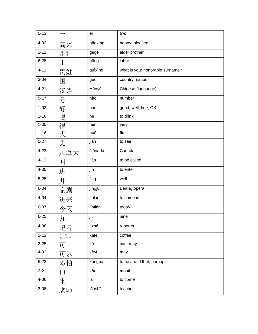| $5 - 13$ |             | èr      | two                             |
|----------|-------------|---------|---------------------------------|
| $4 - 02$ | 高兴          | gāoxìng | happy; pleased                  |
| $2 - 11$ | 哥哥          | gēge    | elder brother                   |
| $6 - 28$ | $\mathbb T$ | gōng    | labor                           |
| $4 - 11$ | 贵姓          | guìxìng | what is your honorable surname? |
| $3 - 04$ | 国           | guó     | country; nation                 |
| $4 - 21$ | 汉语          | Hànyǔ   | Chinese (language)              |
| $5 - 17$ | 号           | hào     | number                          |
| $1 - 02$ | 好           | hǎo     | good; well; fine; OK            |
| $2 - 16$ | 喝           | hē      | to drink                        |
| $1 - 05$ | 很           | hěn     | very                            |
| $1 - 16$ | 火           | huǒ     | fire                            |
| $5 - 27$ | 见           | jiàn    | to see                          |
| $4 - 23$ | 加拿大         | Jiānádà | Canada                          |
| $4 - 13$ | 叫           | jiào    | to be called                    |
| $4 - 05$ | 进           | jìn     | to enter                        |
| $5 - 25$ | 井           | jǐng    | well                            |
| $6 - 04$ | 京剧          | jīngjù  | Beijing opera                   |
| $4 - 04$ | 进来          | jìnlai  | to come in                      |
| $6 - 07$ | 今天          | jīntiān | today                           |
| $6 - 25$ | 九           | jiŭ     | nine                            |
| $4 - 08$ | 记者          | jìzhě   | reporter                        |
| $2 - 13$ | 咖啡          | kāfēi   | coffee                          |
| $2 - 25$ | 可           | kě      | can; may                        |
| $4 - 03$ | 可以          | kěyĭ    | may                             |
| $6 - 22$ | 恐怕          | kǒngpà  | to be afraid that; perhaps      |
| $2 - 21$ |             | kŏu     | mouth                           |
| $4 - 06$ | 来           | lái     | to come                         |
| $3 - 08$ | 老师          | lǎoshī  | teacher                         |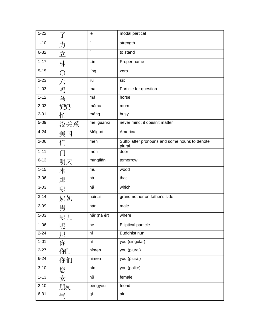| $5 - 22$ | $\overrightarrow{ \ }$ | le          | modal partical                                            |
|----------|------------------------|-------------|-----------------------------------------------------------|
| $1 - 10$ | 力                      | lì          | strength                                                  |
| $6 - 32$ | 立                      | lì.         | to stand                                                  |
| $1 - 17$ | 林                      | Lín         | Proper name                                               |
| $5 - 15$ | O                      | líng        | zero                                                      |
| $2 - 23$ | 六                      | liù         | six                                                       |
| $1 - 03$ | 吗                      | ma          | Particle for question.                                    |
| $1 - 12$ | 马                      | mă          | horse                                                     |
| $2 - 03$ | 姆玛                     | māma        | mom                                                       |
| $2 - 01$ | 忙                      | máng        | busy                                                      |
| $5 - 09$ | 没关系                    | méi guānxi  | never mind; it doesn't matter                             |
| $4 - 24$ | 美国                     | Měiguó      | America                                                   |
| $2 - 06$ | 们                      | men         | Suffix after pronouns and some nouns to denote<br>plural. |
| $1 - 11$ | ГÏ                     | mén         | door                                                      |
| $6 - 13$ | 明天                     | míngtiān    | tomorrow                                                  |
| $1 - 15$ | 木                      | mù          | wood                                                      |
| $3 - 06$ | 那                      | nà          | that                                                      |
| $3 - 03$ | 哪                      | nă          | which                                                     |
| $3 - 14$ | 奶奶                     | năinai      | grandmother on father's side                              |
| $2 - 09$ | 男                      | nán         | male                                                      |
| $5 - 03$ | 哪儿                     | năr (nă ér) | where                                                     |
| $1 - 06$ | 呢                      | ne          | Elliptical particle.                                      |
| $2 - 24$ | 尼                      | ní          | Buddhist nun                                              |
| $1 - 01$ | 你                      | nĭ          | you (singular)                                            |
| $2 - 27$ | 你们                     | nĭmen       | you (plural)                                              |
| $6 - 24$ | 你们                     | nĭmen       | you (plural)                                              |
| $3 - 10$ | 您                      | nín         | you (polite)                                              |
| $1 - 13$ | 女                      | nů          | female                                                    |
| $2 - 10$ | 朋友                     | péngyou     | friend                                                    |
| $6 - 31$ | 气                      | qì          | air                                                       |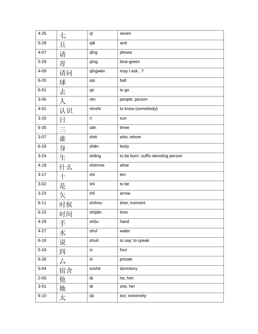| $4 - 25$ | 七         | qī      | seven                              |
|----------|-----------|---------|------------------------------------|
| $5 - 28$ | 且         | qiě     | and                                |
| $4 - 07$ | 请         | qing    | please                             |
| $5 - 29$ | 青         | qīng    | blue-green                         |
| 4-09     | 请问        | qǐngwèn | may I ask?                         |
| $6 - 20$ | 球         | qiú     | ball                               |
| $6 - 01$ | 去         | qù      | to go                              |
| $3 - 05$ | $\lambda$ | rén     | people; person                     |
| $4 - 01$ | 认识        | rènshi  | to know (somebody)                 |
| $3 - 20$ | 日         | rì      | sun                                |
| $6 - 30$ | $\equiv$  | sān     | three                              |
| $3 - 07$ | 谁         | shéi    | who; whom                          |
| $6 - 33$ | 身         | shēn    | body                               |
| $3 - 24$ | 生         | shēng   | to be born; suffix denoting person |
| $4 - 19$ | 什么        | shénme  | what                               |
| $3 - 17$ | $+$       | shí     | ten                                |
| $3 - 02$ | 是         | shì     | to be                              |
| $3 - 23$ | 矢         | shǐ     | arrow                              |
| $6 - 11$ | 时候        | shíhou  | time; moment                       |
| $6 - 15$ | 时间        | shíjiān | time                               |
| 4-29     | 手         | shǒu    | hand                               |
| $4 - 27$ | 水         | shuǐ    | water                              |
| $6 - 16$ | 说         | shuō    | to say; to speak                   |
| $5 - 16$ | 四         | sì      | four                               |
| $6 - 26$ | 厶         | sī      | private                            |
| $5 - 04$ | 宿舍        | sùshè   | dormitory                          |
| $2 - 05$ | 他         | tā      | he; him                            |
| $3 - 01$ | 她         | tā      | she; her                           |
| $6 - 10$ | 太         | tài     | too; extremely                     |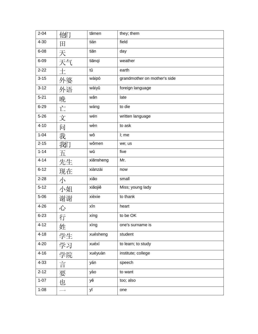| $2 - 04$ | 価け  | tāmen     | they; them                   |
|----------|-----|-----------|------------------------------|
| $4 - 30$ | 田   | tián      | field                        |
| $6 - 08$ | 天   | tiān      | day                          |
| $6 - 09$ | 天气  | tiānqì    | weather                      |
| $2 - 22$ | $+$ | tŭ        | earth                        |
| $3 - 15$ | 外婆  | wàipó     | grandmother on mother's side |
| $3 - 12$ | 外语  | wàiyǔ     | foreign language             |
| $5 - 21$ | 晚   | wǎn       | late                         |
| $6 - 29$ | 亡   | wáng      | to die                       |
| $5 - 26$ | 文   | wén       | written language             |
| $4 - 10$ | 问   | wèn       | to ask                       |
| $1 - 04$ | 我   | wǒ        | I; me                        |
| $2 - 15$ | 我们  | wǒmen     | we; us                       |
| $1 - 14$ | 五   | wǔ        | five                         |
| $4 - 14$ | 先生  | xiānsheng | Mr.                          |
| $6 - 12$ | 现在  | xiànzài   | now                          |
| $2 - 28$ | 小   | xiǎo      | small                        |
| $5 - 12$ | 小姐  | xiǎojiě   | Miss; young lady             |
| $5 - 06$ | 谢谢  | xièxie    | to thank                     |
| $4 - 26$ | 心   | xīn       | heart                        |
| $6 - 23$ | 行   | xíng      | to be OK                     |
| $4 - 12$ | 姓   | xìng      | one's surname is             |
| $4 - 18$ | 学生  | xuésheng  | student                      |
| $4 - 20$ | 学习  | xuéxí     | to learn; to study           |
| $4 - 16$ | 学院  | xuéyuàn   | institute; college           |
| 4-33     | 言   | yán       | speech                       |
| $2 - 12$ | 要   | yào       | to want                      |
| $1 - 07$ | 也   | yě        | too; also                    |
| $1 - 08$ |     | уī        | one                          |